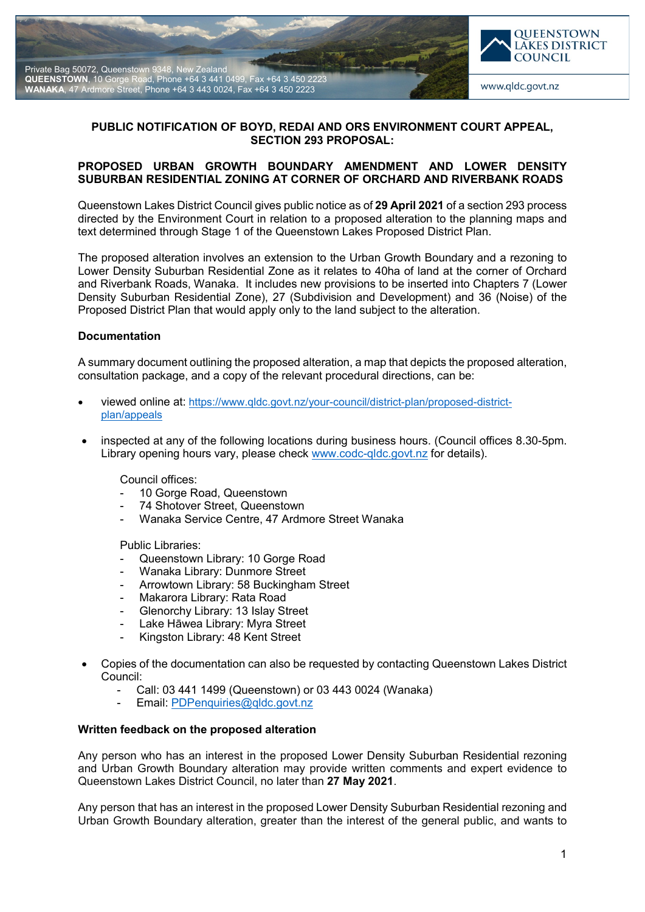



# **PUBLIC NOTIFICATION OF BOYD, REDAI AND ORS ENVIRONMENT COURT APPEAL, SECTION 293 PROPOSAL:**

## **PROPOSED URBAN GROWTH BOUNDARY AMENDMENT AND LOWER DENSITY SUBURBAN RESIDENTIAL ZONING AT CORNER OF ORCHARD AND RIVERBANK ROADS**

Queenstown Lakes District Council gives public notice as of **29 April 2021** of a section 293 process directed by the Environment Court in relation to a proposed alteration to the planning maps and text determined through Stage 1 of the Queenstown Lakes Proposed District Plan.

The proposed alteration involves an extension to the Urban Growth Boundary and a rezoning to Lower Density Suburban Residential Zone as it relates to 40ha of land at the corner of Orchard and Riverbank Roads, Wanaka. It includes new provisions to be inserted into Chapters 7 (Lower Density Suburban Residential Zone), 27 (Subdivision and Development) and 36 (Noise) of the Proposed District Plan that would apply only to the land subject to the alteration.

### **Documentation**

A summary document outlining the proposed alteration, a map that depicts the proposed alteration, consultation package, and a copy of the relevant procedural directions, can be:

- viewed online at: [https://www.qldc.govt.nz/your-council/district-plan/proposed-district](https://www.qldc.govt.nz/your-council/district-plan/proposed-district-plan/appeals)[plan/appeals](https://www.qldc.govt.nz/your-council/district-plan/proposed-district-plan/appeals)
- inspected at any of the following locations during business hours. (Council offices 8.30-5pm. Library opening hours vary, please check [www.codc-qldc.govt.nz](https://codc-qldc.govt.nz/) for details).

Council offices:

- 10 Gorge Road, Queenstown
- 74 Shotover Street, Queenstown
- Wanaka Service Centre, 47 Ardmore Street Wanaka

Public Libraries:

- Queenstown Library: 10 Gorge Road
- Wanaka Library: Dunmore Street
- Arrowtown Library: 58 Buckingham Street
- Makarora Library: Rata Road
- Glenorchy Library: 13 Islay Street
- Lake Hāwea Library: Myra Street
- Kingston Library: 48 Kent Street
- Copies of the documentation can also be requested by contacting Queenstown Lakes District Council:
	- Call: 03 441 1499 (Queenstown) or 03 443 0024 (Wanaka)
	- Email: [PDPenquiries@qldc.govt.nz](mailto:PDPenquiries@qldc.govt.nz)

#### **Written feedback on the proposed alteration**

Any person who has an interest in the proposed Lower Density Suburban Residential rezoning and Urban Growth Boundary alteration may provide written comments and expert evidence to Queenstown Lakes District Council, no later than **27 May 2021**.

Any person that has an interest in the proposed Lower Density Suburban Residential rezoning and Urban Growth Boundary alteration, greater than the interest of the general public, and wants to